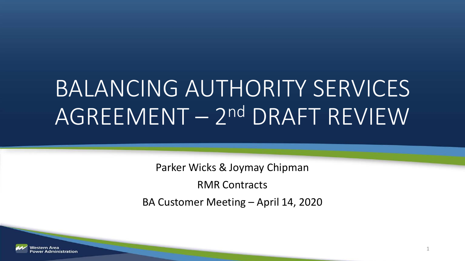# BALANCING AUTHORITY SERVICES AGREEMENT – 2nd DRAFT REVIEW

Parker Wicks & Joymay Chipman

RMR Contracts

BA Customer Meeting – April 14, 2020

1

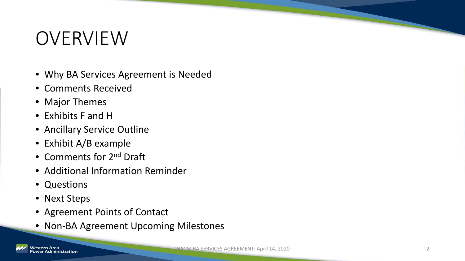## OVERVIEW

- Why BA Services Agreement is Needed
- Comments Received
- Major Themes
- Exhibits F and H
- Ancillary Service Outline
- Exhibit A/B example
- Comments for 2<sup>nd</sup> Draft
- Additional Information Reminder
- Questions
- Next Steps
- Agreement Points of Contact
- Non-BA Agreement Upcoming Milestones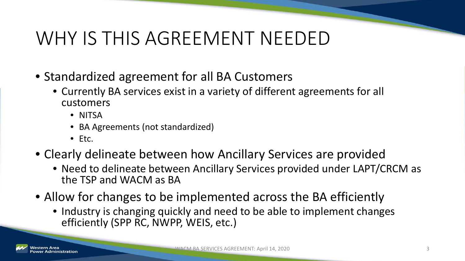## WHY IS THIS AGREEMENT NEEDED

- Standardized agreement for all BA Customers
	- Currently BA services exist in a variety of different agreements for all customers
		- NITSA
		- BA Agreements (not standardized)
		- Etc.
- Clearly delineate between how Ancillary Services are provided
	- Need to delineate between Ancillary Services provided under LAPT/CRCM as the TSP and WACM as BA
- Allow for changes to be implemented across the BA efficiently
	- Industry is changing quickly and need to be able to implement changes efficiently (SPP RC, NWPP, WEIS, etc.)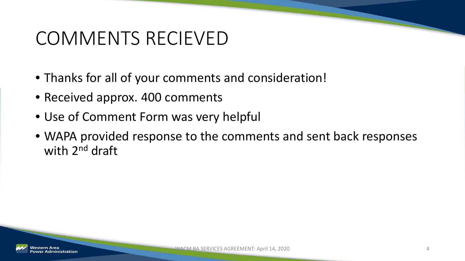## COMMENTS RECIEVED

- Thanks for all of your comments and consideration!
- Received approx. 400 comments
- Use of Comment Form was very helpful
- WAPA provided response to the comments and sent back responses with 2<sup>nd</sup> draft

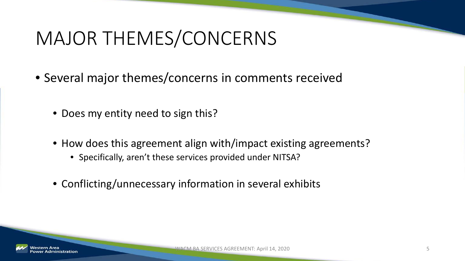- Several major themes/concerns in comments received
	- Does my entity need to sign this?
	- How does this agreement align with/impact existing agreements?
		- Specifically, aren't these services provided under NITSA?
	- Conflicting/unnecessary information in several exhibits

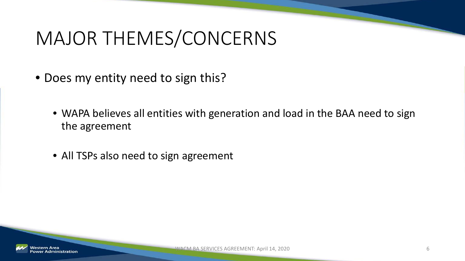- Does my entity need to sign this?
	- WAPA believes all entities with generation and load in the BAA need to sign the agreement
	- All TSPs also need to sign agreement

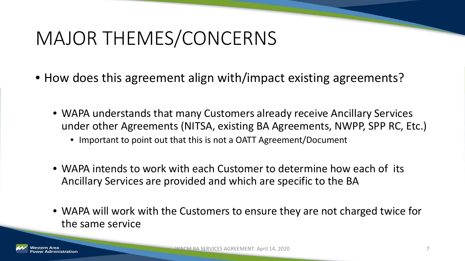- How does this agreement align with/impact existing agreements?
	- WAPA understands that many Customers already receive Ancillary Services under other Agreements (NITSA, existing BA Agreements, NWPP, SPP RC, Etc.)
		- Important to point out that this is not a OATT Agreement/Document
	- WAPA intends to work with each Customer to determine how each of its Ancillary Services are provided and which are specific to the BA
	- WAPA will work with the Customers to ensure they are not charged twice for the same service

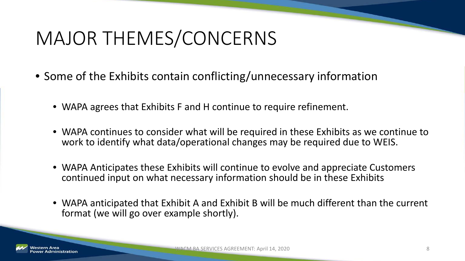- Some of the Exhibits contain conflicting/unnecessary information
	- WAPA agrees that Exhibits F and H continue to require refinement.
	- WAPA continues to consider what will be required in these Exhibits as we continue to work to identify what data/operational changes may be required due to WEIS.
	- WAPA Anticipates these Exhibits will continue to evolve and appreciate Customers continued input on what necessary information should be in these Exhibits
	- WAPA anticipated that Exhibit A and Exhibit B will be much different than the current format (we will go over example shortly).

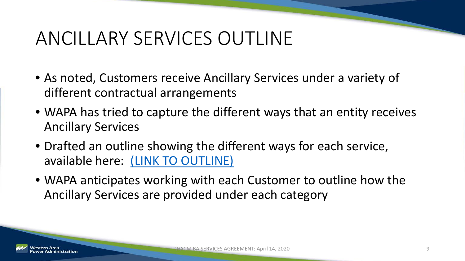## ANCILLARY SERVICES OUTLINE

- As noted, Customers receive Ancillary Services under a variety of different contractual arrangements
- WAPA has tried to capture the different ways that an entity receives Ancillary Services
- Drafted an outline showing the different ways for each service, available here: (LINK TO OUTLINE)
- WAPA anticipates working with each Customer to outline how the Ancillary Services are provided under each category

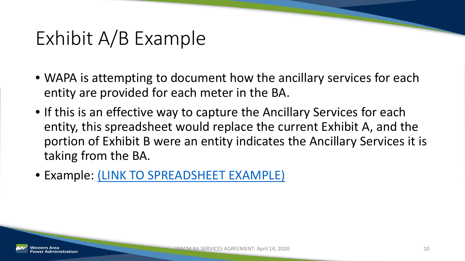## Exhibit A/B Example

- WAPA is attempting to document how the ancillary services for each entity are provided for each meter in the BA.
- If this is an effective way to capture the Ancillary Services for each entity, this spreadsheet would replace the current Exhibit A, and the portion of Exhibit B were an entity indicates the Ancillary Services it is taking from the BA.
- Example: (LINK TO SPREADSHEET EXAMPLE)

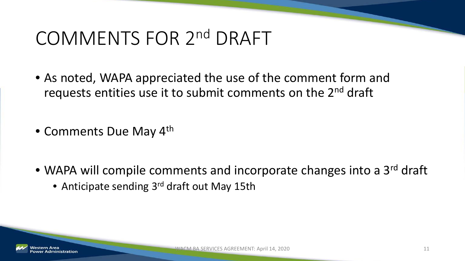## COMMENTS FOR 2nd DRAFT

• As noted, WAPA appreciated the use of the comment form and requests entities use it to submit comments on the 2<sup>nd</sup> draft

• Comments Due May 4<sup>th</sup>

- WAPA will compile comments and incorporate changes into a 3<sup>rd</sup> draft
	- Anticipate sending 3<sup>rd</sup> draft out May 15th

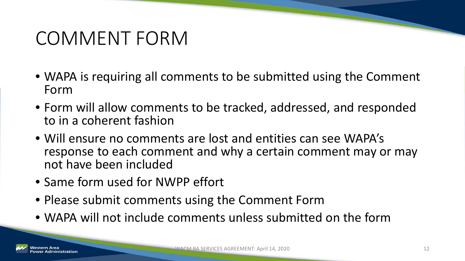## COMMENT FORM

- WAPA is requiring all comments to be submitted using the Comment Form
- Form will allow comments to be tracked, addressed, and responded to in a coherent fashion
- Will ensure no comments are lost and entities can see WAPA's response to each comment and why a certain comment may or may not have been included
- Same form used for NWPP effort
- Please submit comments using the Comment Form
- WAPA will not include comments unless submitted on the form

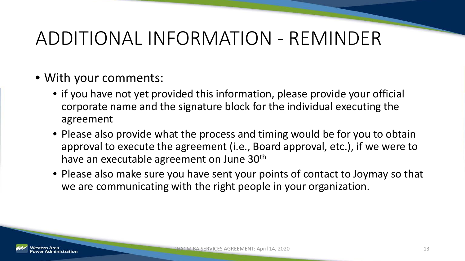## ADDITIONAL INFORMATION - REMINDER

- With your comments:
	- if you have not yet provided this information, please provide your official corporate name and the signature block for the individual executing the agreement
	- Please also provide what the process and timing would be for you to obtain approval to execute the agreement (i.e., Board approval, etc.), if we were to have an executable agreement on June 30<sup>th</sup>
	- Please also make sure you have sent your points of contact to Joymay so that we are communicating with the right people in your organization.

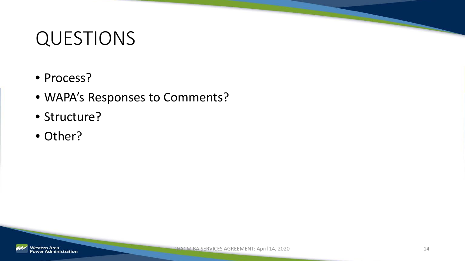#### QUESTIONS

- Process?
- WAPA's Responses to Comments?
- Structure?
- Other?

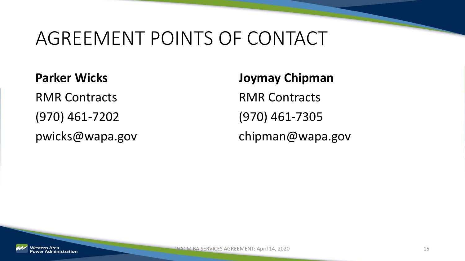#### AGREEMENT POINTS OF CONTACT

**Parker Wicks** RMR Contracts (970) 461-7202 pwicks@wapa.gov

**Joymay Chipman** RMR Contracts (970) 461-7305 chipman@wapa.gov

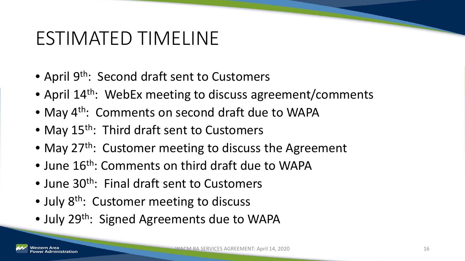## ESTIMATED TIMELINE

- April 9<sup>th</sup>: Second draft sent to Customers
- April 14<sup>th</sup>: WebEx meeting to discuss agreement/comments
- May 4<sup>th</sup>: Comments on second draft due to WAPA
- May 15<sup>th</sup>: Third draft sent to Customers
- May 27<sup>th</sup>: Customer meeting to discuss the Agreement
- June 16<sup>th</sup>: Comments on third draft due to WAPA
- June 30<sup>th</sup>: Final draft sent to Customers
- July 8<sup>th</sup>: Customer meeting to discuss
- July 29<sup>th</sup>: Signed Agreements due to WAPA